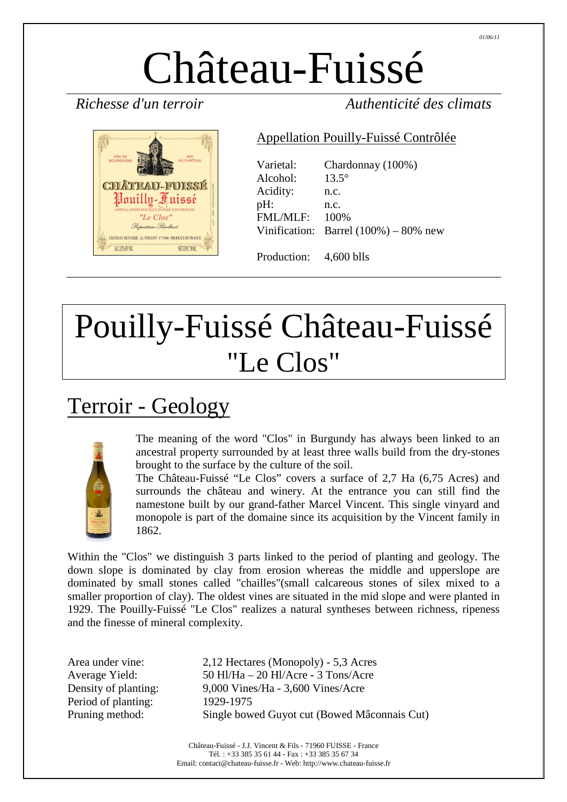# Château-Fuissé



*Richesse d'un terroir Authenticité des climats* 

#### Appellation Pouilly-Fuissé Contrôlée

| Varietal:<br>Alcohol: | Chardonnay (100%)<br>$13.5^\circ$         |
|-----------------------|-------------------------------------------|
| Acidity:              | n.c.                                      |
| pH:                   | n.c.                                      |
| <b>FML/MLF:</b>       | 100%                                      |
|                       | Vinification: Barrel $(100\%) - 80\%$ new |
|                       |                                           |

## Pouilly-Fuissé Château-Fuissé "Le Clos"

Production: 4,600 blls

### Terroir - Geology



The meaning of the word "Clos" in Burgundy has always been linked to an ancestral property surrounded by at least three walls build from the dry-stones brought to the surface by the culture of the soil.

The Château-Fuissé "Le Clos" covers a surface of 2,7 Ha (6,75 Acres) and surrounds the château and winery. At the entrance you can still find the namestone built by our grand-father Marcel Vincent. This single vinyard and monopole is part of the domaine since its acquisition by the Vincent family in 1862.

Within the "Clos" we distinguish 3 parts linked to the period of planting and geology. The down slope is dominated by clay from erosion whereas the middle and upperslope are dominated by small stones called "chailles"(small calcareous stones of silex mixed to a smaller proportion of clay). The oldest vines are situated in the mid slope and were planted in 1929. The Pouilly-Fuissé "Le Clos" realizes a natural syntheses between richness, ripeness and the finesse of mineral complexity.

Period of planting: 1929-1975

Area under vine: 2,12 Hectares (Monopoly) - 5,3 Acres Average Yield: 50 Hl/Ha – 20 Hl/Acre - 3 Tons/Acre Density of planting: 9,000 Vines/Ha - 3,600 Vines/Acre Pruning method: Single bowed Guyot cut (Bowed Mâconnais Cut)